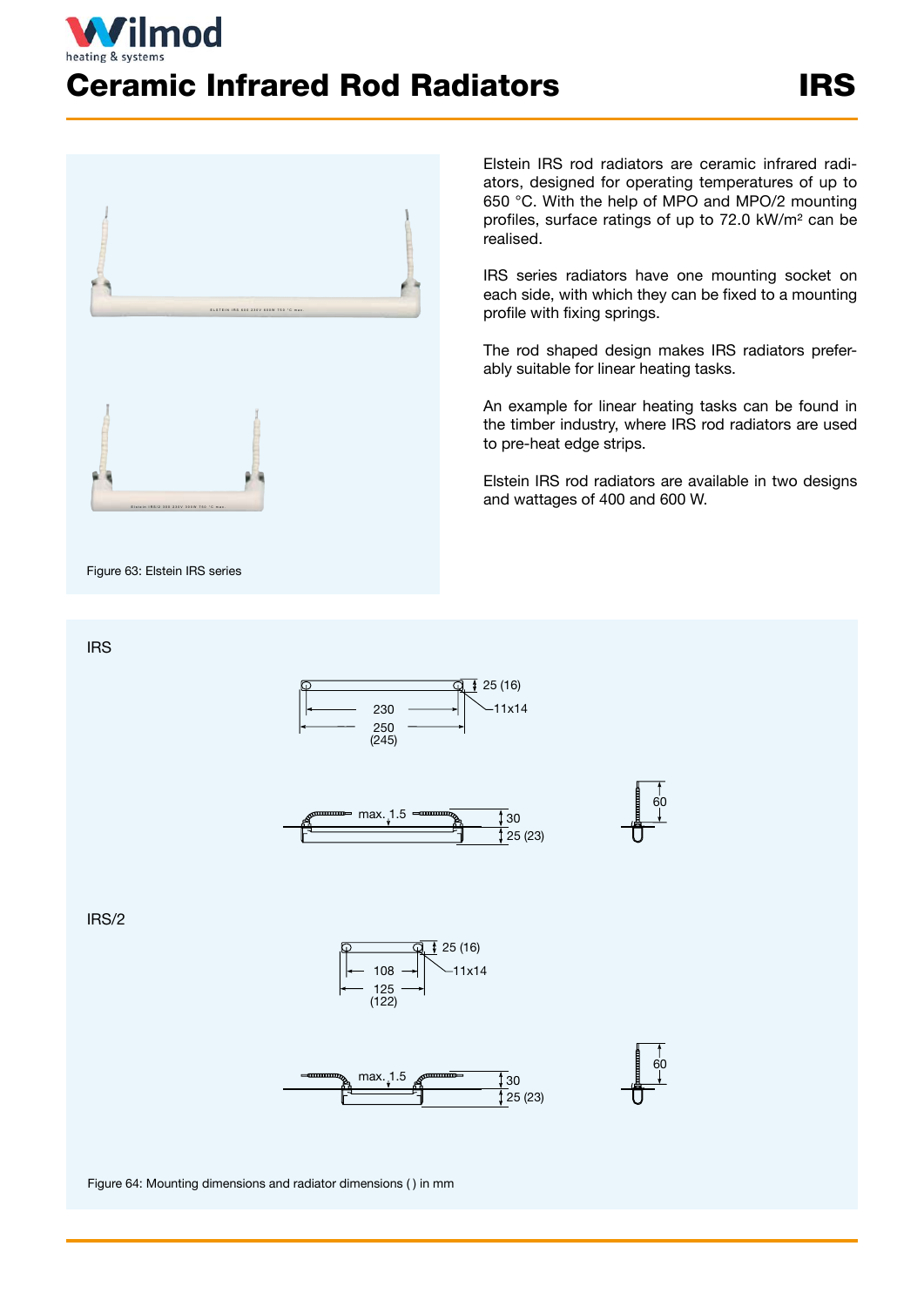## **ilmod** Ceramic Infrared Rod Radiators IRS



Figure 63: Elstein IRS series

Elstein IRS rod radiators are ceramic infrared radiators, designed for operating temperatures of up to 650 °C. With the help of MPO and MPO/2 mounting profiles, surface ratings of up to 72.0 kW/m² can be realised.

IRS series radiators have one mounting socket on each side, with which they can be fixed to a mounting profile with fixing springs.

The rod shaped design makes IRS radiators preferably suitable for linear heating tasks.

An example for linear heating tasks can be found in the timber industry, where IRS rod radiators are used to pre-heat edge strips.

Elstein IRS rod radiators are available in two designs and wattages of 400 and 600 W.